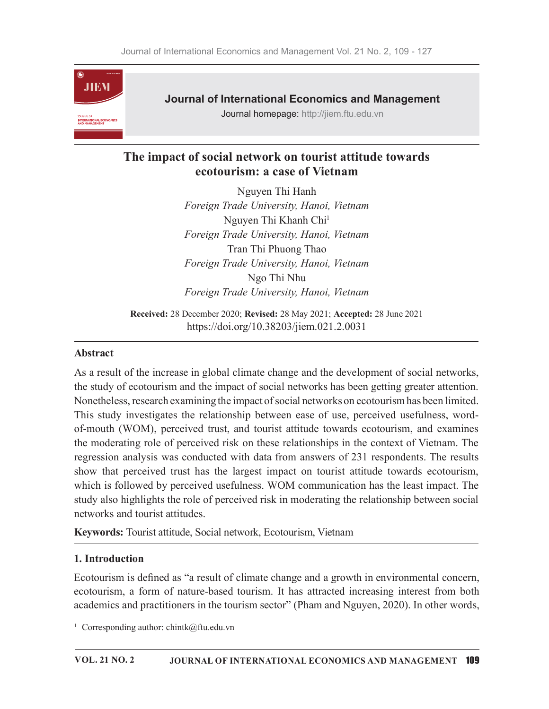

## Journal of International Economics and Management

Journal homepage: http://jiem.ftu.edu.vn

# The impact of social network on tourist attitude towards ecotourism: a case of Vietnam

Nguyen Thi Hanh Foreign Trade University, Hanoi, Vietnam Nguyen Thi Khanh Chi1 Foreign Trade University, Hanoi, Vietnam Tran Thi Phuong Thao Foreign Trade University, Hanoi, Vietnam Ngo Thi Nhu Foreign Trade University, Hanoi, Vietnam

Received: 28 December 2020; Revised: 28 May 2021; Accepted: 28 June 2021 https://doi.org/10.38203/jiem.021.2.0031

### Abstract

As a result of the increase in global climate change and the development of social networks, the study of ecotourism and the impact of social networks has been getting greater attention. Nonetheless, research examining the impact of social networks on ecotourism has been limited. This study investigates the relationship between ease of use, perceived usefulness, wordof-mouth (WOM), perceived trust, and tourist attitude towards ecotourism, and examines the moderating role of perceived risk on these relationships in the context of Vietnam. The regression analysis was conducted with data from answers of 231 respondents. The results show that perceived trust has the largest impact on tourist attitude towards ecotourism, which is followed by perceived usefulness. WOM communication has the least impact. The study also highlights the role of perceived risk in moderating the relationship between social networks and tourist attitudes.

Keywords: Tourist attitude, Social network, Ecotourism, Vietnam

### 1. Introduction

Ecotourism is defined as "a result of climate change and a growth in environmental concern, ecotourism, a form of nature-based tourism. It has attracted increasing interest from both academics and practitioners in the tourism sector" (Pham and Nguyen, 2020). In other words,

<sup>&</sup>lt;sup>1</sup> Corresponding author: chintk@ftu.edu.vn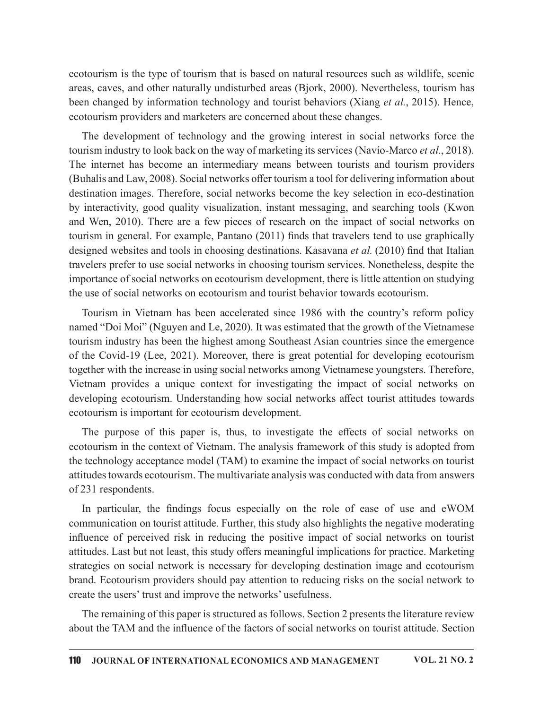ecotourism is the type of tourism that is based on natural resources such as wildlife, scenic areas, caves, and other naturally undisturbed areas (Bjork, 2000). Nevertheless, tourism has been changed by information technology and tourist behaviors (Xiang et al., 2015). Hence, ecotourism providers and marketers are concerned about these changes.

The development of technology and the growing interest in social networks force the tourism industry to look back on the way of marketing its services (Navío-Marco et al., 2018). The internet has become an intermediary means between tourists and tourism providers (Buhalis and Law, 2008). Social networks offer tourism a tool for delivering information about destination images. Therefore, social networks become the key selection in eco-destination by interactivity, good quality visualization, instant messaging, and searching tools (Kwon and Wen, 2010). There are a few pieces of research on the impact of social networks on tourism in general. For example, Pantano  $(2011)$  finds that travelers tend to use graphically designed websites and tools in choosing destinations. Kasavana et al. (2010) find that Italian travelers prefer to use social networks in choosing tourism services. Nonetheless, despite the importance of social networks on ecotourism development, there is little attention on studying the use of social networks on ecotourism and tourist behavior towards ecotourism.

Tourism in Vietnam has been accelerated since 1986 with the country's reform policy named "Doi Moi" (Nguyen and Le, 2020). It was estimated that the growth of the Vietnamese tourism industry has been the highest among Southeast Asian countries since the emergence of the Covid-19 (Lee, 2021). Moreover, there is great potential for developing ecotourism together with the increase in using social networks among Vietnamese youngsters. Therefore, Vietnam provides a unique context for investigating the impact of social networks on developing ecotourism. Understanding how social networks affect tourist attitudes towards ecotourism is important for ecotourism development. use of social networks on ecotourism and tourist behavior towards ecotourism.<br>Tourism in Vietnam has been accelerated since 1986 with the growth of the Vietnamese<br>particular in Tourism in Mustry hay been the highest among

The purpose of this paper is, thus, to investigate the effects of social networks on ecotourism in the context of Vietnam. The analysis framework of this study is adopted from the technology acceptance model (TAM) to examine the impact of social networks on tourist attitudes towards ecotourism. The multivariate analysis was conducted with data from answers of 231 respondents.

communication on tourist attitude. Further, this study also highlights the negative moderating influence of perceived risk in reducing the positive impact of social networks on tourist attitudes. Last but not least, this study offers meaningful implications for practice. Marketing strategies on social network is necessary for developing destination image and ecotourism brand. Ecotourism providers should pay attention to reducing risks on the social network to create the users' trust and improve the networks' usefulness.

The remaining of this paper is structured as follows. Section 2 presents the literature review about the TAM and the influence of the factors of social networks on tourist attitude. Section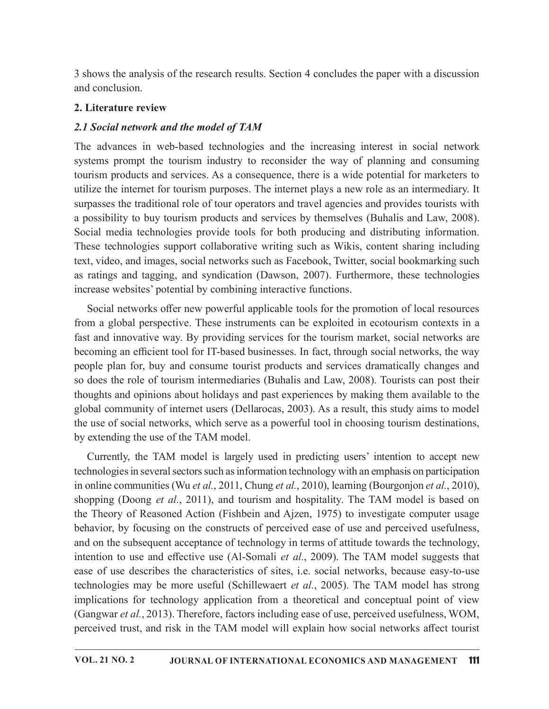3 shows the analysis of the research results. Section 4 concludes the paper with a discussion and conclusion.

#### 2. Literature review

### 2.1 Social network and the model of TAM

The advances in web-based technologies and the increasing interest in social network systems prompt the tourism industry to reconsider the way of planning and consuming tourism products and services. As a consequence, there is a wide potential for marketers to utilize the internet for tourism purposes. The internet plays a new role as an intermediary. It surpasses the traditional role of tour operators and travel agencies and provides tourists with a possibility to buy tourism products and services by themselves (Buhalis and Law, 2008). Social media technologies provide tools for both producing and distributing information. These technologies support collaborative writing such as Wikis, content sharing including text, video, and images, social networks such as Facebook, Twitter, social bookmarking such as ratings and tagging, and syndication (Dawson, 2007). Furthermore, these technologies increase websites' potential by combining interactive functions.

Social networks offer new powerful applicable tools for the promotion of local resources from a global perspective. These instruments can be exploited in ecotourism contexts in a fast and innovative way. By providing services for the tourism market, social networks are becoming an efficient tool for IT-based businesses. In fact, through social networks, the way people plan for, buy and consume tourist products and services dramatically changes and so does the role of tourism intermediaries (Buhalis and Law, 2008). Tourists can post their thoughts and opinions about holidays and past experiences by making them available to the global community of internet users (Dellarocas, 2003). As a result, this study aims to model the use of social networks, which serve as a powerful tool in choosing tourism destinations, by extending the use of the TAM model.

Currently, the TAM model is largely used in predicting users' intention to accept new technologies in several sectors such as information technology with an emphasis on participation in online communities (Wu et al., 2011, Chung et al., 2010), learning (Bourgonjon et al., 2010), shopping (Doong *et al.*, 2011), and tourism and hospitality. The TAM model is based on the Theory of Reasoned Action (Fishbein and Ajzen, 1975) to investigate computer usage behavior, by focusing on the constructs of perceived ease of use and perceived usefulness, and on the subsequent acceptance of technology in terms of attitude towards the technology, intention to use and effective use (Al-Somali *et al.*, 2009). The TAM model suggests that ease of use describes the characteristics of sites, i.e. social networks, because easy-to-use technologies may be more useful (Schillewaert et al., 2005). The TAM model has strong implications for technology application from a theoretical and conceptual point of view (Gangwar et al., 2013). Therefore, factors including ease of use, perceived usefulness, WOM, perceived trust, and risk in the TAM model will explain how social networks affect tourist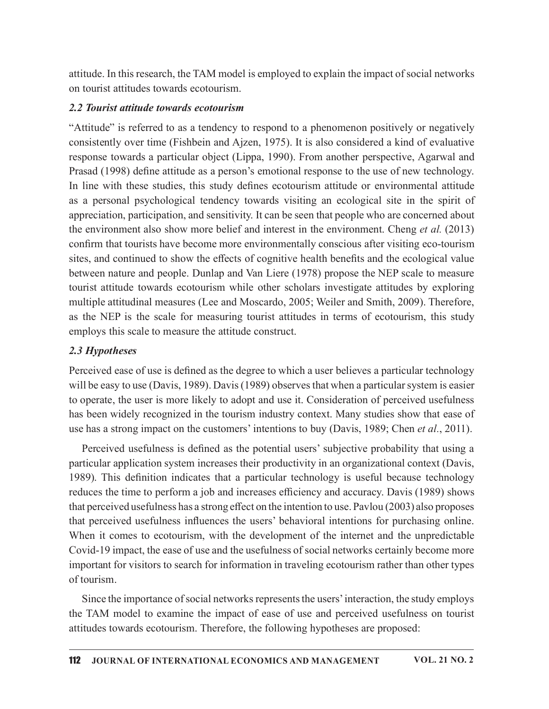attitude. In this research, the TAM model is employed to explain the impact of social networks on tourist attitudes towards ecotourism.

#### 2.2 Tourist attitude towards ecotourism

"Attitude" is referred to as a tendency to respond to a phenomenon positively or negatively consistently over time (Fishbein and Ajzen, 1975). It is also considered a kind of evaluative response towards a particular object (Lippa, 1990). From another perspective, Agarwal and Prasad (1998) define attitude as a person's emotional response to the use of new technology. In line with these studies, this study defines ecotourism attitude or environmental attitude as a personal psychological tendency towards visiting an ecological site in the spirit of appreciation, participation, and sensitivity. It can be seen that people who are concerned about the environment also show more belief and interest in the environment. Cheng *et al.* (2013) confirm that tourists have become more environmentally conscious after visiting eco-tourism sites, and continued to show the effects of cognitive health benefits and the ecological value between nature and people. Dunlap and Van Liere (1978) propose the NEP scale to measure tourist attitude towards ecotourism while other scholars investigate attitudes by exploring multiple attitudinal measures (Lee and Moscardo, 2005; Weiler and Smith, 2009). Therefore, as the NEP is the scale for measuring tourist attitudes in terms of ecotourism, this study employs this scale to measure the attitude construct.

### 2.3 Hypotheses

Perceived ease of use is defined as the degree to which a user believes a particular technology will be easy to use (Davis, 1989). Davis (1989) observes that when a particular system is easier to operate, the user is more likely to adopt and use it. Consideration of perceived usefulness has been widely recognized in the tourism industry context. Many studies show that ease of use has a strong impact on the customers' intentions to buy (Davis, 1989; Chen *et al.*, 2011).

Perceived usefulness is defined as the potential users' subjective probability that using a particular application system increases their productivity in an organizational context (Davis, 1989). This definition indicates that a particular technology is useful because technology reduces the time to perform a job and increases efficiency and accuracy. Davis (1989) shows that perceived usefulness has a strong effect on the intention to use. Pavlou (2003) also proposes that perceived usefulness influences the users' behavioral intentions for purchasing online. When it comes to ecotourism, with the development of the internet and the unpredictable Covid-19 impact, the ease of use and the usefulness of social networks certainly become more important for visitors to search for information in traveling ecotourism rather than other types of tourism.

Since the importance of social networks represents the users' interaction, the study employs the TAM model to examine the impact of ease of use and perceived usefulness on tourist attitudes towards ecotourism. Therefore, the following hypotheses are proposed: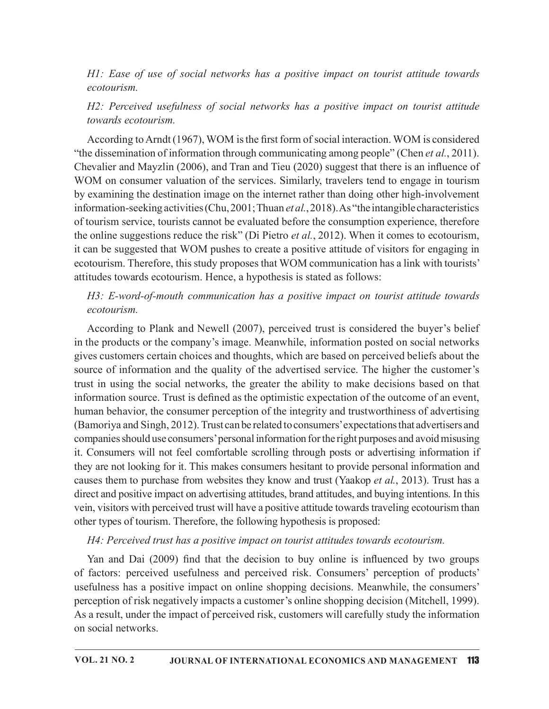H1: Ease of use of social networks has a positive impact on tourist attitude towards ecotourism.

H2: Perceived usefulness of social networks has a positive impact on tourist attitude towards ecotourism.

According to Arndt (1967), WOM is the first form of social interaction. WOM is considered "the dissemination of information through communicating among people" (Chen *et al.*, 2011). Chevalier and Mayzlin (2006), and Tran and Tieu (2020) suggest that there is an influence of WOM on consumer valuation of the services. Similarly, travelers tend to engage in tourism by examining the destination image on the internet rather than doing other high-involvement information-seeking activities (Chu, 2001; Thuan *et al.*, 2018). As "the intangible characteristics of tourism service, tourists cannot be evaluated before the consumption experience, therefore the online suggestions reduce the risk" (Di Pietro *et al.*, 2012). When it comes to ecotourism, it can be suggested that WOM pushes to create a positive attitude of visitors for engaging in ecotourism. Therefore, this study proposes that WOM communication has a link with tourists' attitudes towards ecotourism. Hence, a hypothesis is stated as follows:

## H3: E-word-of-mouth communication has a positive impact on tourist attitude towards ecotourism.

According to Plank and Newell (2007), perceived trust is considered the buyer's belief in the products or the company's image. Meanwhile, information posted on social networks gives customers certain choices and thoughts, which are based on perceived beliefs about the source of information and the quality of the advertised service. The higher the customer's trust in using the social networks, the greater the ability to make decisions based on that information source. Trust is defined as the optimistic expectation of the outcome of an event, human behavior, the consumer perception of the integrity and trustworthiness of advertising (Bamoriya and Singh, 2012). Trust can be related to consumers' expectations that advertisers and companies should use consumers' personal information for the right purposes and avoid misusing it. Consumers will not feel comfortable scrolling through posts or advertising information if they are not looking for it. This makes consumers hesitant to provide personal information and causes them to purchase from websites they know and trust (Yaakop et al., 2013). Trust has a direct and positive impact on advertising attitudes, brand attitudes, and buying intentions. In this vein, visitors with perceived trust will have a positive attitude towards traveling ecotourism than other types of tourism. Therefore, the following hypothesis is proposed: the products or the company's image. Meanwhile, information posted on social networks<br>es customers certain choices and thoughts, which are based on perceived beliefs about the<br>cree of information and the quality of the adv

### H4: Perceived trust has a positive impact on tourist attitudes towards ecotourism.

of factors: perceived usefulness and perceived risk. Consumers' perception of products' usefulness has a positive impact on online shopping decisions. Meanwhile, the consumers' perception of risk negatively impacts a customer's online shopping decision (Mitchell, 1999). As a result, under the impact of perceived risk, customers will carefully study the information on social networks.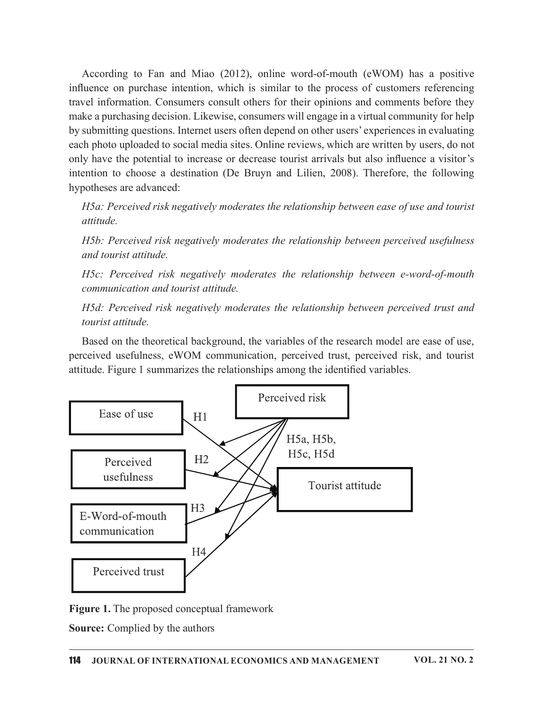According to Fan and Miao (2012), online word-of-mouth (eWOM) has a positive influence on purchase intention, which is similar to the process of customers referencing travel information. Consumers consult others for their opinions and comments before they make a purchasing decision. Likewise, consumers will engage in a virtual community for help by submitting questions. Internet users often depend on other users' experiences in evaluating each photo uploaded to social media sites. Online reviews, which are written by users, do not only have the potential to increase or decrease tourist arrivals but also influence a visitor's intention to choose a destination (De Bruyn and Lilien, 2008). Therefore, the following hypotheses are advanced:

H5a: Perceived risk negatively moderates the relationship between ease of use and tourist attitude.

H5b: Perceived risk negatively moderates the relationship between perceived usefulness and tourist attitude.

H5c: Perceived risk negatively moderates the relationship between e-word-of-mouth communication and tourist attitude.

H5d: Perceived risk negatively moderates the relationship between perceived trust and tourist attitude.

Based on the theoretical background, the variables of the research model are ease of use, perceived usefulness, eWOM communication, perceived trust, perceived risk, and tourist attitude. Figure 1 summarizes the relationships among the identified variables.



Figure 1. The proposed conceptual framework

Source: Complied by the authors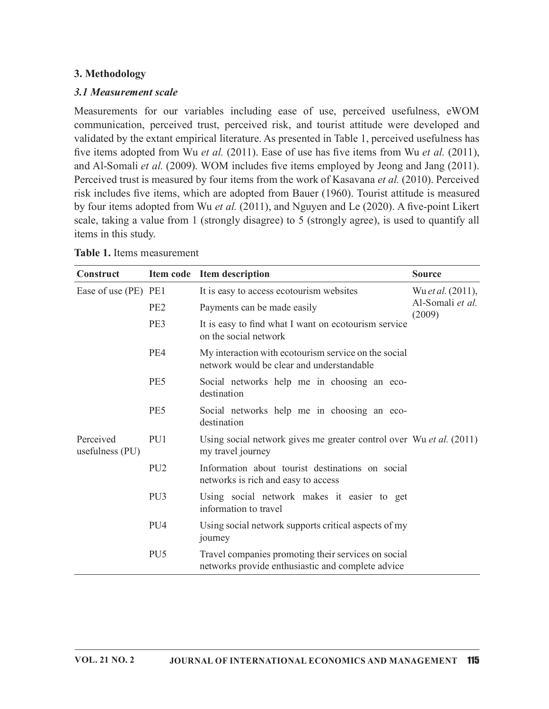## 3. Methodology

#### 3.1 Measurement scale

Measurements for our variables including ease of use, perceived usefulness, eWOM communication, perceived trust, perceived risk, and tourist attitude were developed and validated by the extant empirical literature. As presented in Table 1, perceived usefulness has five items adopted from Wu et al.  $(2011)$ . Ease of use has five items from Wu et al.  $(2011)$ , and Al-Somali et al. (2009). WOM includes five items employed by Jeong and Jang (2011). Perceived trust is measured by four items from the work of Kasavana et al. (2010). Perceived risk includes five items, which are adopted from Bauer (1960). Tourist attitude is measured by four items adopted from Wu et al.  $(2011)$ , and Nguyen and Le  $(2020)$ . A five-point Likert scale, taking a value from 1 (strongly disagree) to 5 (strongly agree), is used to quantify all items in this study. **3. Methodology**<br> **3.1 Measurement scale**<br>
Measurements for our variables including ease of use, perceived usefulness, eWOM<br>
communication, perceived trust, perceived risk, and tourist attitude were developed and<br>
validat **EXECT:** EXECT: The model of two access ecotourism vebsites (2009)<br>
The same of use of use of use, perceived usefulness, eWOM<br>
communication, perceived trust, perceived risk, and tourist attitude were developed and<br>
adida *t* scale<br>
or our variables including ease of use, perceived usefulness, eWOM<br>
perceived trust, perceived risk, and tourist attitude were developed and<br>
at Attitude in the matter of the set of the matter of the matter of

| items in this study.         |                 | validated by the extant empirical literature. As presented in Table 1, perceived usefulness has<br>five items adopted from Wu et al. (2011). Ease of use has five items from Wu et al. (2011),<br>and Al-Somali et al. (2009). WOM includes five items employed by Jeong and Jang (2011).<br>Perceived trust is measured by four items from the work of Kasavana et al. (2010). Perceived<br>risk includes five items, which are adopted from Bauer (1960). Tourist attitude is measured<br>by four items adopted from Wu et al. (2011), and Nguyen and Le (2020). A five-point Likert<br>scale, taking a value from 1 (strongly disagree) to 5 (strongly agree), is used to quantify all |                            |
|------------------------------|-----------------|-------------------------------------------------------------------------------------------------------------------------------------------------------------------------------------------------------------------------------------------------------------------------------------------------------------------------------------------------------------------------------------------------------------------------------------------------------------------------------------------------------------------------------------------------------------------------------------------------------------------------------------------------------------------------------------------|----------------------------|
| Table 1. Items measurement   |                 |                                                                                                                                                                                                                                                                                                                                                                                                                                                                                                                                                                                                                                                                                           |                            |
| Construct                    |                 | Item code Item description                                                                                                                                                                                                                                                                                                                                                                                                                                                                                                                                                                                                                                                                | <b>Source</b>              |
| Ease of use (PE) PE1         |                 | It is easy to access ecotourism websites                                                                                                                                                                                                                                                                                                                                                                                                                                                                                                                                                                                                                                                  | Wu et al. (2011),          |
|                              | PE <sub>2</sub> | Payments can be made easily                                                                                                                                                                                                                                                                                                                                                                                                                                                                                                                                                                                                                                                               | Al-Somali et al.<br>(2009) |
|                              | PE3             | It is easy to find what I want on ecotourism service<br>on the social network                                                                                                                                                                                                                                                                                                                                                                                                                                                                                                                                                                                                             |                            |
|                              | PE4             | My interaction with ecotourism service on the social<br>network would be clear and understandable                                                                                                                                                                                                                                                                                                                                                                                                                                                                                                                                                                                         |                            |
|                              | PE5             | Social networks help me in choosing an eco-<br>destination                                                                                                                                                                                                                                                                                                                                                                                                                                                                                                                                                                                                                                |                            |
|                              | PE5             | Social networks help me in choosing an eco-<br>destination                                                                                                                                                                                                                                                                                                                                                                                                                                                                                                                                                                                                                                |                            |
| Perceived<br>usefulness (PU) | PU1             | Using social network gives me greater control over Wu et al. (2011)<br>my travel journey                                                                                                                                                                                                                                                                                                                                                                                                                                                                                                                                                                                                  |                            |
|                              | PU <sub>2</sub> | Information about tourist destinations on social<br>networks is rich and easy to access                                                                                                                                                                                                                                                                                                                                                                                                                                                                                                                                                                                                   |                            |
|                              | PU <sub>3</sub> | Using social network makes it easier to get<br>information to travel                                                                                                                                                                                                                                                                                                                                                                                                                                                                                                                                                                                                                      |                            |
|                              | PU <sub>4</sub> | Using social network supports critical aspects of my<br>journey                                                                                                                                                                                                                                                                                                                                                                                                                                                                                                                                                                                                                           |                            |
|                              | PU <sub>5</sub> | Travel companies promoting their services on social<br>networks provide enthusiastic and complete advice                                                                                                                                                                                                                                                                                                                                                                                                                                                                                                                                                                                  |                            |

| Table 1. Items measurement |  |
|----------------------------|--|
|----------------------------|--|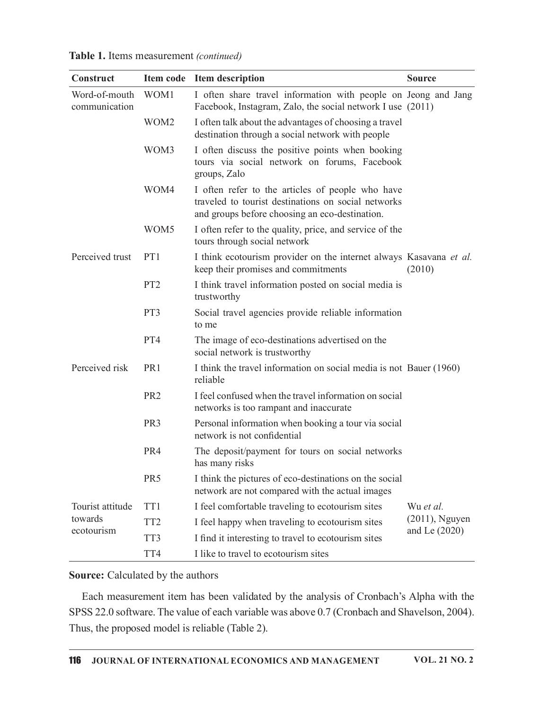Table 1. Items measurement (continued)

|                                |                  | Table 1. Items measurement (continued)                                                                                                                    |                   |
|--------------------------------|------------------|-----------------------------------------------------------------------------------------------------------------------------------------------------------|-------------------|
| Construct                      |                  | Item code Item description                                                                                                                                | <b>Source</b>     |
| Word-of-mouth<br>communication | WOM1             | I often share travel information with people on Jeong and Jang<br>Facebook, Instagram, Zalo, the social network I use (2011)                              |                   |
|                                | WOM <sub>2</sub> | I often talk about the advantages of choosing a travel<br>destination through a social network with people                                                |                   |
|                                | WOM3             | I often discuss the positive points when booking<br>tours via social network on forums, Facebook<br>groups, Zalo                                          |                   |
|                                | WOM4             | I often refer to the articles of people who have<br>traveled to tourist destinations on social networks<br>and groups before choosing an eco-destination. |                   |
|                                | WOM <sub>5</sub> | I often refer to the quality, price, and service of the<br>tours through social network                                                                   |                   |
| Perceived trust                | PT1              | I think ecotourism provider on the internet always Kasavana <i>et al.</i><br>keep their promises and commitments                                          | (2010)            |
|                                | PT <sub>2</sub>  | I think travel information posted on social media is<br>trustworthy                                                                                       |                   |
|                                | PT3              | Social travel agencies provide reliable information<br>to me                                                                                              |                   |
|                                | PT4              | The image of eco-destinations advertised on the<br>social network is trustworthy                                                                          |                   |
| Perceived risk                 | PR <sub>1</sub>  | I think the travel information on social media is not Bauer (1960)<br>reliable                                                                            |                   |
|                                | PR <sub>2</sub>  | I feel confused when the travel information on social<br>networks is too rampant and inaccurate                                                           |                   |
|                                | PR <sub>3</sub>  | Personal information when booking a tour via social<br>network is not confidential                                                                        |                   |
|                                | PR4              | The deposit/payment for tours on social networks<br>has many risks                                                                                        |                   |
|                                | PR <sub>5</sub>  | I think the pictures of eco-destinations on the social<br>network are not compared with the actual images                                                 |                   |
| Tourist attitude               | TT1              | I feel comfortable traveling to ecotourism sites                                                                                                          | Wu et al.         |
| towards                        | TT <sub>2</sub>  | I feel happy when traveling to ecotourism sites                                                                                                           | $(2011)$ , Nguyen |
| ecotourism                     | TT3              | I find it interesting to travel to ecotourism sites                                                                                                       | and Le $(2020)$   |
|                                | TT4              | I like to travel to ecotourism sites                                                                                                                      |                   |

Each measurement item has been validated by the analysis of Cronbach's Alpha with the SPSS 22.0 software. The value of each variable was above 0.7 (Cronbach and Shavelson, 2004). Thus, the proposed model is reliable (Table 2).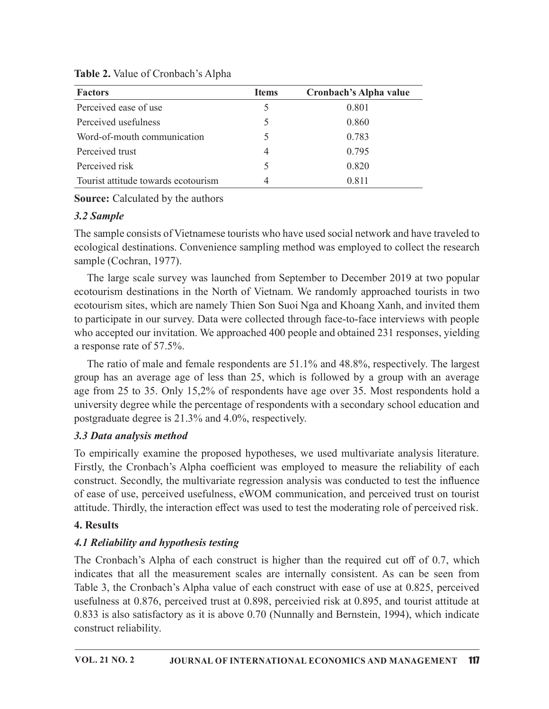| Table 2. Value of Cronbach's Alpha                                                           |              |                        |
|----------------------------------------------------------------------------------------------|--------------|------------------------|
| <b>Factors</b>                                                                               | <b>Items</b> | Cronbach's Alpha value |
| Perceived ease of use                                                                        | 5            | 0.801                  |
|                                                                                              | 5            | 0.860                  |
| Perceived usefulness                                                                         |              |                        |
| Word-of-mouth communication                                                                  | 5            | 0.783                  |
| Perceived trust                                                                              | 4            | 0.795                  |
| Perceived risk                                                                               | 5            | 0.820                  |
| Tourist attitude towards ecotourism                                                          | 4            | 0.811                  |
| <b>Source:</b> Calculated by the authors                                                     |              |                        |
| 3.2 Sample                                                                                   |              |                        |
| The sample consists of Vietnamese tourists who have used social network and have traveled to |              |                        |

Table 2. Value of Cronbach's Alpha

## 3.2 Sample

The sample consists of Vietnamese tourists who have used social network and have traveled to ecological destinations. Convenience sampling method was employed to collect the research sample (Cochran, 1977).

The large scale survey was launched from September to December 2019 at two popular ecotourism destinations in the North of Vietnam. We randomly approached tourists in two ecotourism sites, which are namely Thien Son Suoi Nga and Khoang Xanh, and invited them to participate in our survey. Data were collected through face-to-face interviews with people who accepted our invitation. We approached 400 people and obtained 231 responses, yielding a response rate of 57.5%.

The ratio of male and female respondents are 51.1% and 48.8%, respectively. The largest group has an average age of less than 25, which is followed by a group with an average age from 25 to 35. Only 15,2% of respondents have age over 35. Most respondents hold a university degree while the percentage of respondents with a secondary school education and postgraduate degree is 21.3% and 4.0%, respectively.

## 3.3 Data analysis method

To empirically examine the proposed hypotheses, we used multivariate analysis literature. Firstly, the Cronbach's Alpha coefficient was employed to measure the reliability of each construct. Secondly, the multivariate regression analysis was conducted to test the influence of ease of use, perceived usefulness, eWOM communication, and perceived trust on tourist attitude. Thirdly, the interaction effect was used to test the moderating role of perceived risk.

## 4. Results

# 4.1 Reliability and hypothesis testing

The Cronbach's Alpha of each construct is higher than the required cut off of 0.7, which indicates that all the measurement scales are internally consistent. As can be seen from Table 3, the Cronbach's Alpha value of each construct with ease of use at 0.825, perceived usefulness at 0.876, perceived trust at 0.898, perceivied risk at 0.895, and tourist attitude at 0.833 is also satisfactory as it is above 0.70 (Nunnally and Bernstein, 1994), which indicate construct reliability.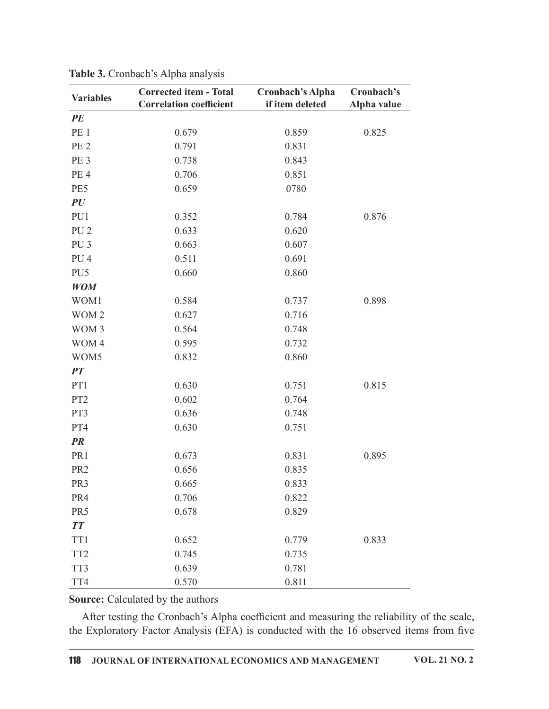|                               | <b>Corrected item - Total</b>  | <b>Cronbach's Alpha</b> | Cronbach's  |
|-------------------------------|--------------------------------|-------------------------|-------------|
| <b>Variables</b>              | <b>Correlation coefficient</b> | if item deleted         | Alpha value |
| PE                            |                                |                         |             |
| PE <sub>1</sub>               | 0.679                          | 0.859                   | 0.825       |
| PE <sub>2</sub>               | 0.791                          | 0.831                   |             |
| PE <sub>3</sub>               | 0.738                          | 0.843                   |             |
| PE <sub>4</sub>               | 0.706                          | 0.851                   |             |
| PE5                           | 0.659                          | 0780                    |             |
| PU                            |                                |                         |             |
| PU1                           | 0.352                          | 0.784                   | 0.876       |
| PU <sub>2</sub>               | 0.633                          | 0.620                   |             |
| PU <sub>3</sub>               | 0.663<br>0.511                 | 0.607<br>0.691          |             |
| PU <sub>4</sub>               | 0.660                          |                         |             |
| PU <sub>5</sub><br><b>WOM</b> |                                | 0.860                   |             |
| WOM1                          | 0.584                          | 0.737                   | 0.898       |
| WOM 2                         | 0.627                          | 0.716                   |             |
| WOM 3                         | 0.564                          | 0.748                   |             |
| WOM 4                         | 0.595                          | 0.732                   |             |
| WOM5                          | 0.832                          | 0.860                   |             |
| PT                            |                                |                         |             |
| PT1                           | 0.630                          | 0.751                   | 0.815       |
| PT <sub>2</sub>               | 0.602                          | 0.764                   |             |
| PT3                           | 0.636                          | 0.748                   |             |
| PT4                           | 0.630                          | 0.751                   |             |
| PR                            |                                |                         |             |
| PR1                           | 0.673                          | 0.831                   | 0.895       |
| PR <sub>2</sub>               | 0.656                          | 0.835                   |             |
| PR3                           | 0.665                          | 0.833                   |             |
| PR4                           | 0.706                          | 0.822                   |             |
| PR5                           | 0.678                          | 0.829                   |             |
| <b>TT</b>                     |                                |                         |             |
| TT1                           | 0.652                          | 0.779                   | 0.833       |
| TT <sub>2</sub>               | 0.745                          | 0.735                   |             |
| TT3                           | 0.639                          | 0.781                   |             |
| TT4                           | 0.570                          | 0.811                   |             |

Table 3. Cronbach's Alpha analysis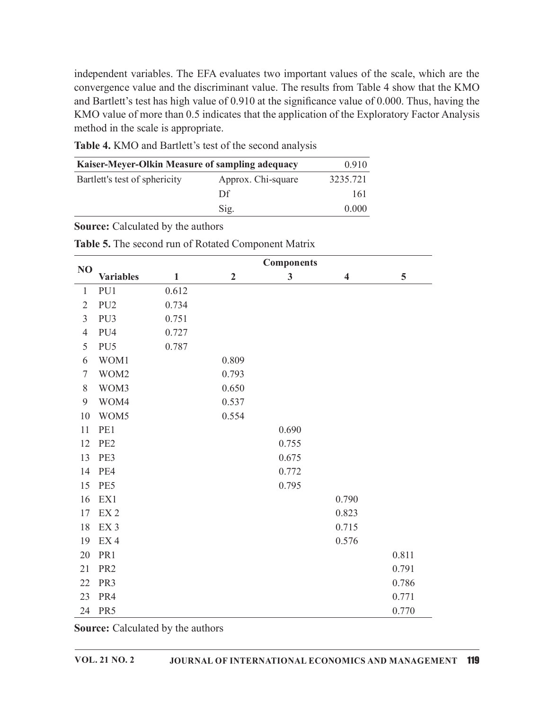independent variables. The EFA evaluates two important values of the scale, which are the convergence value and the discriminant value. The results from Table 4 show that the KMO and Bartlett's test has high value of 0.910 at the significance value of 0.000. Thus, having the KMO value of more than 0.5 indicates that the application of the Exploratory Factor Analysis method in the scale is appropriate. evaluates two important values of the scale, which are the<br>minant value. The results from Table 4 show that the KMO<br>of 0.910 at the significance value of 0.000. Thus, having the<br>cates that the application of the Explorator evaluates two important values of the scale, which are the<br>minant value. The results from Table 4 show that the KMO<br>of 0.910 at the significance value of 0.000. Thus, having the<br>cates that the application of the Explorator

| Kaiser-Meyer-Olkin Measure of sampling adequacy |                    | 0.910    |
|-------------------------------------------------|--------------------|----------|
| Bartlett's test of sphericity                   | Approx. Chi-square | 3235.721 |
|                                                 | Df                 | 161      |
|                                                 | Sig.               | 0.000    |

| <b>Table 5.</b> The second run of Rotated Component Matrix |  |
|------------------------------------------------------------|--|
|------------------------------------------------------------|--|

|                |                                                 |       |                  | Table 4. KMO and Bartlett's test of the second analysis |                         |       |
|----------------|-------------------------------------------------|-------|------------------|---------------------------------------------------------|-------------------------|-------|
|                | Kaiser-Meyer-Olkin Measure of sampling adequacy |       |                  |                                                         | 0.910                   |       |
|                | Bartlett's test of sphericity                   |       |                  | Approx. Chi-square                                      | 3235.721                |       |
|                |                                                 |       | Df               |                                                         | 161                     |       |
|                |                                                 |       | Sig.             |                                                         | 0.000                   |       |
|                |                                                 |       |                  |                                                         |                         |       |
|                | Source: Calculated by the authors               |       |                  |                                                         |                         |       |
|                |                                                 |       |                  | Table 5. The second run of Rotated Component Matrix     |                         |       |
|                |                                                 |       |                  | <b>Components</b>                                       |                         |       |
| N <sub>O</sub> | <b>Variables</b>                                | 1     | $\boldsymbol{2}$ | 3                                                       | $\overline{\mathbf{4}}$ | 5     |
|                | PU1                                             | 0.612 |                  |                                                         |                         |       |
| 2              | PU <sub>2</sub>                                 | 0.734 |                  |                                                         |                         |       |
| 3              | PU <sub>3</sub>                                 | 0.751 |                  |                                                         |                         |       |
|                | PU4                                             | 0.727 |                  |                                                         |                         |       |
| 5              | PU <sub>5</sub>                                 | 0.787 |                  |                                                         |                         |       |
| 6              | WOM1                                            |       | 0.809            |                                                         |                         |       |
|                | WOM2                                            |       | 0.793            |                                                         |                         |       |
| 8              | WOM3                                            |       | 0.650            |                                                         |                         |       |
| 9              | WOM4                                            |       | 0.537            |                                                         |                         |       |
| 10             | WOM5                                            |       | 0.554            |                                                         |                         |       |
| 11             | PE1                                             |       |                  | 0.690                                                   |                         |       |
| 12             | PE <sub>2</sub>                                 |       |                  | 0.755                                                   |                         |       |
|                | 13 PE3                                          |       |                  | 0.675                                                   |                         |       |
|                | 14 PE4                                          |       |                  | 0.772                                                   |                         |       |
| 15             | PE5                                             |       |                  | 0.795                                                   |                         |       |
| 16             | EX1                                             |       |                  |                                                         | 0.790                   |       |
| 17             | EX <sub>2</sub>                                 |       |                  |                                                         | 0.823                   |       |
| 18             | EX <sub>3</sub>                                 |       |                  |                                                         | 0.715                   |       |
| 19             | EX <sub>4</sub>                                 |       |                  |                                                         | 0.576                   |       |
| 20             | PR1                                             |       |                  |                                                         |                         | 0.811 |
| 21             | PR <sub>2</sub>                                 |       |                  |                                                         |                         | 0.791 |
| 22             | PR <sub>3</sub>                                 |       |                  |                                                         |                         | 0.786 |
| 23             | PR4                                             |       |                  |                                                         |                         | 0.771 |
|                | 24 PR5                                          |       |                  |                                                         |                         | 0.770 |
|                | Source: Calculated by the authors               |       |                  |                                                         |                         |       |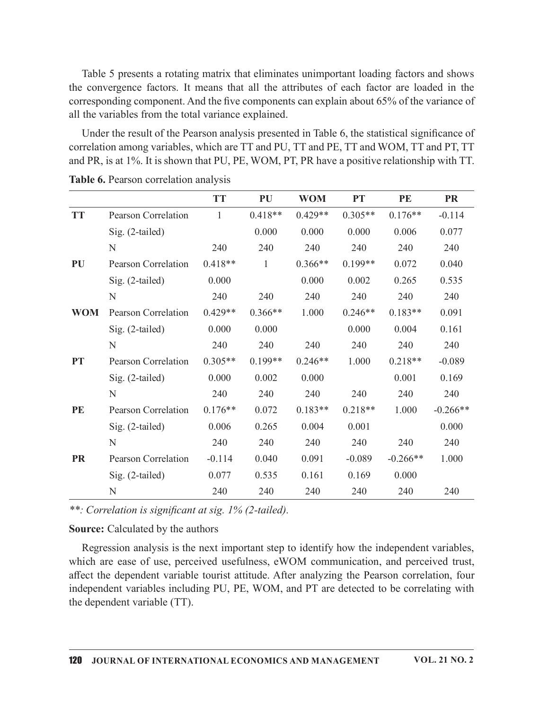|            | the convergence factors. It means that all the attributes of each factor are loaded in the     |              |           |            |           | Table 5 presents a rotating matrix that eliminates unimportant loading factors and shows |            |
|------------|------------------------------------------------------------------------------------------------|--------------|-----------|------------|-----------|------------------------------------------------------------------------------------------|------------|
|            |                                                                                                |              |           |            |           |                                                                                          |            |
|            | corresponding component. And the five components can explain about 65% of the variance of      |              |           |            |           |                                                                                          |            |
|            | all the variables from the total variance explained.                                           |              |           |            |           |                                                                                          |            |
|            | Under the result of the Pearson analysis presented in Table 6, the statistical significance of |              |           |            |           |                                                                                          |            |
|            | correlation among variables, which are TT and PU, TT and PE, TT and WOM, TT and PT, TT         |              |           |            |           |                                                                                          |            |
|            | and PR, is at 1%. It is shown that PU, PE, WOM, PT, PR have a positive relationship with TT.   |              |           |            |           |                                                                                          |            |
|            | Table 6. Pearson correlation analysis                                                          |              |           |            |           |                                                                                          |            |
|            |                                                                                                | <b>TT</b>    | PU        | <b>WOM</b> | <b>PT</b> | PE                                                                                       | <b>PR</b>  |
| <b>TT</b>  | <b>Pearson Correlation</b>                                                                     | $\mathbf{1}$ | $0.418**$ | $0.429**$  | $0.305**$ | $0.176**$                                                                                | $-0.114$   |
|            | Sig. (2-tailed)                                                                                |              | 0.000     | 0.000      | 0.000     | 0.006                                                                                    | 0.077      |
|            | N                                                                                              | 240          | 240       | 240        | 240       | 240                                                                                      | 240        |
| PU         | Pearson Correlation                                                                            | $0.418**$    | 1         | $0.366**$  | $0.199**$ | 0.072                                                                                    | 0.040      |
|            | Sig. (2-tailed)                                                                                | 0.000        |           | 0.000      | 0.002     | 0.265                                                                                    | 0.535      |
|            | N                                                                                              | 240          | 240       | 240        | 240       | 240                                                                                      | 240        |
| <b>WOM</b> | Pearson Correlation                                                                            | $0.429**$    | $0.366**$ | 1.000      | $0.246**$ | $0.183**$                                                                                | 0.091      |
|            | Sig. (2-tailed)                                                                                | 0.000        | 0.000     |            | 0.000     | 0.004                                                                                    | 0.161      |
|            | N                                                                                              | 240          | 240       | 240        | 240       | 240                                                                                      | 240        |
| <b>PT</b>  | Pearson Correlation                                                                            | $0.305**$    | $0.199**$ | $0.246**$  | 1.000     | $0.218**$                                                                                | $-0.089$   |
|            | Sig. (2-tailed)                                                                                | 0.000        | 0.002     | 0.000      |           | 0.001                                                                                    | 0.169      |
|            | N                                                                                              | 240          | 240       | 240        | 240       | 240                                                                                      | 240        |
| PE         | Pearson Correlation                                                                            | $0.176**$    | 0.072     | $0.183**$  | $0.218**$ | 1.000                                                                                    | $-0.266**$ |
|            | Sig. (2-tailed)                                                                                | 0.006        | 0.265     | 0.004      | 0.001     |                                                                                          | 0.000      |
|            | N                                                                                              | 240          | 240       | 240        | 240       | 240                                                                                      | 240        |
| <b>PR</b>  | Pearson Correlation                                                                            | $-0.114$     | 0.040     | 0.091      | $-0.089$  | $-0.266**$                                                                               | 1.000      |
|            | Sig. (2-tailed)                                                                                | 0.077        | 0.535     | 0.161      | 0.169     | 0.000                                                                                    |            |
|            | N                                                                                              | 240          | 240       | 240        | 240       | 240                                                                                      | 240        |

Table 6. Pearson correlation analysis

Regression analysis is the next important step to identify how the independent variables, which are ease of use, perceived usefulness, eWOM communication, and perceived trust, affect the dependent variable tourist attitude. After analyzing the Pearson correlation, four independent variables including PU, PE, WOM, and PT are detected to be correlating with the dependent variable (TT).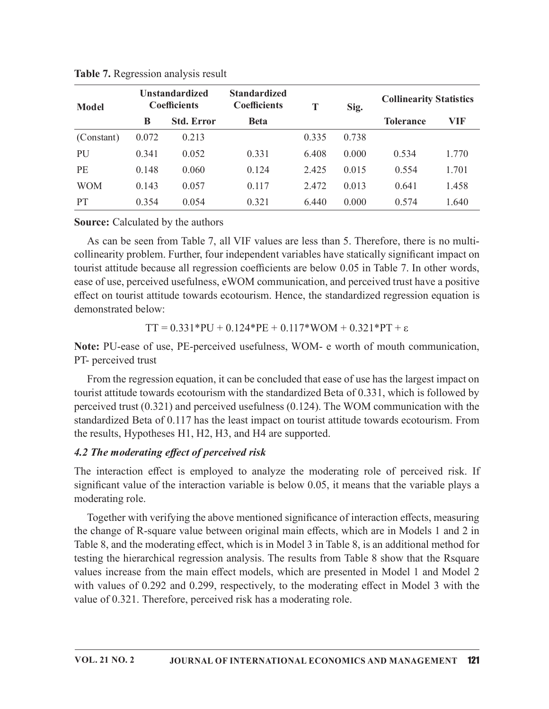|              | Table 7. Regression analysis result<br><b>Unstandardized</b> |                                          |                                                                                                 |       |       |                                |            |
|--------------|--------------------------------------------------------------|------------------------------------------|-------------------------------------------------------------------------------------------------|-------|-------|--------------------------------|------------|
| <b>Model</b> | <b>Coefficients</b>                                          |                                          | <b>Standardized</b><br><b>Coefficients</b>                                                      | T     | Sig.  | <b>Collinearity Statistics</b> |            |
|              | B                                                            | <b>Std. Error</b>                        | <b>Beta</b>                                                                                     |       |       | <b>Tolerance</b>               | <b>VIF</b> |
| (Constant)   | 0.072                                                        | 0.213                                    |                                                                                                 | 0.335 | 0.738 |                                |            |
| PU           | 0.341                                                        | 0.052                                    | 0.331                                                                                           | 6.408 | 0.000 | 0.534                          | 1.770      |
| PE           | 0.148                                                        | 0.060                                    | 0.124                                                                                           | 2.425 | 0.015 | 0.554                          | 1.701      |
|              | 0.143                                                        | 0.057                                    | 0.117                                                                                           | 2.472 | 0.013 | 0.641                          | 1.458      |
| <b>WOM</b>   |                                                              |                                          | 0.321                                                                                           | 6.440 | 0.000 | 0.574                          | 1.640      |
| PT           | 0.354                                                        | 0.054                                    |                                                                                                 |       |       |                                |            |
|              |                                                              |                                          |                                                                                                 |       |       |                                |            |
|              |                                                              | <b>Source:</b> Calculated by the authors |                                                                                                 |       |       |                                |            |
|              |                                                              |                                          | As can be seen from Table 7, all VIF values are less than 5. Therefore, there is no multi-      |       |       |                                |            |
|              |                                                              |                                          | collinearity problem. Further, four independent variables have statically significant impact on |       |       |                                |            |

Table 7. Regression analysis result

As can be seen from Table 7, all VIF values are less than 5. Therefore, there is no multicollinearity problem. Further, four independent variables have statically significant impact on tourist attitude because all regression coefficients are below 0.05 in Table 7. In other words, ease of use, perceived usefulness, eWOM communication, and perceived trust have a positive effect on tourist attitude towards ecotourism. Hence, the standardized regression equation is demonstrated below:

TT =  $0.331*PU + 0.124*PE + 0.117*WOM + 0.321*PT + \varepsilon$ 

Note: PU-ease of use, PE-perceived usefulness, WOM- e worth of mouth communication, PT- perceived trust

From the regression equation, it can be concluded that ease of use has the largest impact on tourist attitude towards ecotourism with the standardized Beta of 0.331, which is followed by perceived trust (0.321) and perceived usefulness (0.124). The WOM communication with the standardized Beta of 0.117 has the least impact on tourist attitude towards ecotourism. From the results, Hypotheses H1, H2, H3, and H4 are supported.

### 4.2 The moderating effect of perceived risk

The interaction effect is employed to analyze the moderating role of perceived risk. If significant value of the interaction variable is below  $0.05$ , it means that the variable plays a moderating role.

Together with verifying the above mentioned significance of interaction effects, measuring the change of R-square value between original main effects, which are in Models 1 and 2 in Table 8, and the moderating effect, which is in Model 3 in Table 8, is an additional method for testing the hierarchical regression analysis. The results from Table 8 show that the Rsquare values increase from the main effect models, which are presented in Model 1 and Model 2 with values of 0.292 and 0.299, respectively, to the moderating effect in Model 3 with the value of 0.321. Therefore, perceived risk has a moderating role.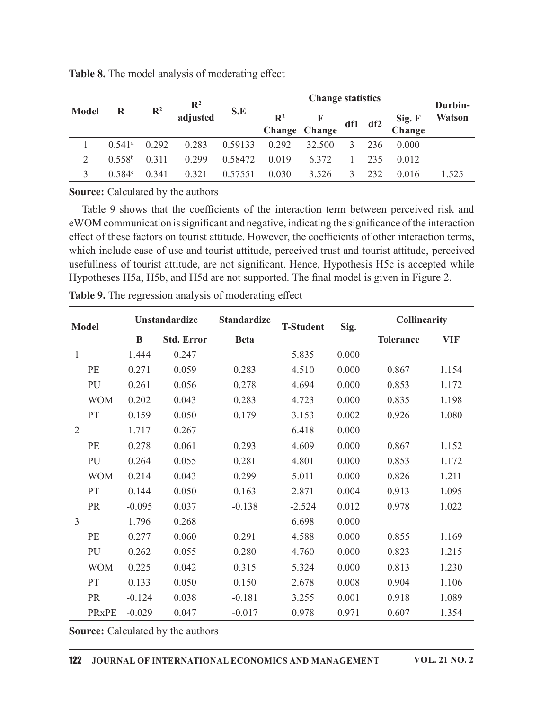|                |                    |                |                                                                                                    |                    |                          | <b>Change statistics</b> |       |         |                     |                          |
|----------------|--------------------|----------------|----------------------------------------------------------------------------------------------------|--------------------|--------------------------|--------------------------|-------|---------|---------------------|--------------------------|
| <b>Model</b>   | $\bf R$            | $\mathbb{R}^2$ | $\mathbb{R}^2$<br>adjusted                                                                         | S.E                | $\mathbb{R}^2$<br>Change | F<br>Change              |       | df1 df2 | Sig. F<br>Change    | Durbin-<br><b>Watson</b> |
|                | $0.541^{\rm a}$    | 0.292          | 0.283                                                                                              | 0.59133            | 0.292                    | 32.500                   | 3     | 236     | 0.000               |                          |
| $\overline{2}$ | 0.558 <sup>b</sup> | 0.311          | 0.299                                                                                              | 0.58472            | 0.019                    | 6.372                    |       | 235     | 0.012               |                          |
| $\mathfrak{Z}$ | 0.584c             | 0.341          | 0.321                                                                                              | 0.57551            | 0.030                    | 3.526                    | 3     | 232     | 0.016               | 1.525                    |
|                |                    |                | Source: Calculated by the authors                                                                  |                    |                          |                          |       |         |                     |                          |
|                |                    |                | Table 9 shows that the coefficients of the interaction term between perceived risk and             |                    |                          |                          |       |         |                     |                          |
|                |                    |                | eWOM communication is significant and negative, indicating the significance of the interaction     |                    |                          |                          |       |         |                     |                          |
|                |                    |                | effect of these factors on tourist attitude. However, the coefficients of other interaction terms, |                    |                          |                          |       |         |                     |                          |
|                |                    |                | which include ease of use and tourist attitude, perceived trust and tourist attitude, perceived    |                    |                          |                          |       |         |                     |                          |
|                |                    |                | usefullness of tourist attitude, are not significant. Hence, Hypothesis H5c is accepted while      |                    |                          |                          |       |         |                     |                          |
|                |                    |                | Hypotheses H5a, H5b, and H5d are not supported. The final model is given in Figure 2.              |                    |                          |                          |       |         |                     |                          |
|                |                    |                |                                                                                                    |                    |                          |                          |       |         |                     |                          |
|                |                    |                | Table 9. The regression analysis of moderating effect                                              |                    |                          |                          |       |         |                     |                          |
|                |                    | Unstandardize  |                                                                                                    | <b>Standardize</b> |                          |                          |       |         | <b>Collinearity</b> |                          |
| <b>Model</b>   |                    | $\bf{B}$       | <b>Std. Error</b>                                                                                  | <b>Beta</b>        |                          | <b>T-Student</b>         | Sig.  |         | <b>Tolerance</b>    | <b>VIF</b>               |
| -1             |                    | 1.444          | 0.247                                                                                              |                    |                          | 5.835                    | 0.000 |         |                     |                          |
| PE             |                    | 0.271          | 0.059                                                                                              | 0.283              |                          | 4.510                    | 0.000 |         | 0.867               | 1.154                    |

| <b>Table 8.</b> The model analysis of moderating effect |
|---------------------------------------------------------|
|---------------------------------------------------------|

| <b>Model</b>   | $\mathbf R$          | $\mathbb{R}^2$ | п<br>adjusted                            | S.E                                                                                                                                                                                                                                                                                                                                                                                               | $\mathbb{R}^2$<br>Change | F<br>Change      | df1   | df2 | Sig. F<br>Change    | Landin-<br>Watson |
|----------------|----------------------|----------------|------------------------------------------|---------------------------------------------------------------------------------------------------------------------------------------------------------------------------------------------------------------------------------------------------------------------------------------------------------------------------------------------------------------------------------------------------|--------------------------|------------------|-------|-----|---------------------|-------------------|
| -1             | $0.541$ <sup>a</sup> | 0.292          | 0.283                                    | 0.59133                                                                                                                                                                                                                                                                                                                                                                                           | 0.292                    | 32.500           | 3     | 236 | 0.000               |                   |
| 2              | 0.558 <sup>b</sup>   | 0.311          | 0.299                                    | 0.58472                                                                                                                                                                                                                                                                                                                                                                                           | 0.019                    | 6.372            |       | 235 | 0.012               |                   |
| 3              | 0.584c               | 0.341          | 0.321                                    | 0.57551                                                                                                                                                                                                                                                                                                                                                                                           | 0.030                    | 3.526            | 3     | 232 | 0.016               | 1.525             |
|                |                      |                | <b>Source:</b> Calculated by the authors |                                                                                                                                                                                                                                                                                                                                                                                                   |                          |                  |       |     |                     |                   |
|                |                      |                |                                          | Table 9 shows that the coefficients of the interaction term between perceived risk and<br>eWOM communication is significant and negative, indicating the significance of the interaction<br>effect of these factors on tourist attitude. However, the coefficients of other interaction terms,<br>which include ease of use and tourist attitude, perceived trust and tourist attitude, perceived |                          |                  |       |     |                     |                   |
|                |                      |                |                                          | usefullness of tourist attitude, are not significant. Hence, Hypothesis H5c is accepted while<br>Hypotheses H5a, H5b, and H5d are not supported. The final model is given in Figure 2.                                                                                                                                                                                                            |                          |                  |       |     |                     |                   |
|                |                      |                |                                          | Table 9. The regression analysis of moderating effect                                                                                                                                                                                                                                                                                                                                             |                          |                  |       |     |                     |                   |
| <b>Model</b>   |                      |                | Unstandardize                            | <b>Standardize</b>                                                                                                                                                                                                                                                                                                                                                                                |                          | <b>T-Student</b> | Sig.  |     | <b>Collinearity</b> |                   |
|                |                      | B              | <b>Std. Error</b>                        | <b>Beta</b>                                                                                                                                                                                                                                                                                                                                                                                       |                          |                  |       |     | <b>Tolerance</b>    | <b>VIF</b>        |
| $\overline{1}$ |                      | 1.444          | 0.247                                    |                                                                                                                                                                                                                                                                                                                                                                                                   |                          | 5.835            | 0.000 |     |                     |                   |
| PE             |                      | 0.271          | 0.059                                    | 0.283                                                                                                                                                                                                                                                                                                                                                                                             |                          | 4.510            | 0.000 |     | 0.867               | 1.154             |
| PU             |                      | 0.261          | 0.056                                    | 0.278                                                                                                                                                                                                                                                                                                                                                                                             |                          | 4.694            | 0.000 |     | 0.853               | 1.172             |
| <b>WOM</b>     |                      | 0.202          | 0.043                                    | 0.283                                                                                                                                                                                                                                                                                                                                                                                             |                          | 4.723            | 0.000 |     | 0.835               | 1.198             |
| <b>PT</b>      |                      | 0.159          | 0.050                                    | 0.179                                                                                                                                                                                                                                                                                                                                                                                             |                          | 3.153            | 0.002 |     | 0.926               | 1.080             |
| 2              |                      | 1.717          | 0.267                                    |                                                                                                                                                                                                                                                                                                                                                                                                   |                          | 6.418            | 0.000 |     |                     |                   |
| PE             |                      | 0.278          | 0.061                                    | 0.293                                                                                                                                                                                                                                                                                                                                                                                             |                          | 4.609            | 0.000 |     | 0.867               | 1.152             |
| PU             |                      | 0.264          | 0.055                                    | 0.281                                                                                                                                                                                                                                                                                                                                                                                             |                          | 4.801            | 0.000 |     | 0.853               | 1.172             |
| <b>WOM</b>     |                      | 0.214          | 0.043                                    | 0.299                                                                                                                                                                                                                                                                                                                                                                                             |                          | 5.011            | 0.000 |     | 0.826               | 1.211             |
| PT             |                      | 0.144          | 0.050                                    | 0.163                                                                                                                                                                                                                                                                                                                                                                                             |                          | 2.871            | 0.004 |     | 0.913               | 1.095             |
| <b>PR</b>      |                      | $-0.095$       | 0.037                                    | $-0.138$                                                                                                                                                                                                                                                                                                                                                                                          |                          | $-2.524$         | 0.012 |     | 0.978               | 1.022             |
| $\mathfrak{Z}$ |                      | 1.796          | 0.268                                    |                                                                                                                                                                                                                                                                                                                                                                                                   |                          | 6.698            | 0.000 |     |                     |                   |
| PE             |                      | 0.277          | 0.060                                    | 0.291                                                                                                                                                                                                                                                                                                                                                                                             |                          | 4.588            | 0.000 |     | 0.855               | 1.169             |
| PU             |                      | 0.262          | 0.055                                    | 0.280                                                                                                                                                                                                                                                                                                                                                                                             |                          | 4.760            | 0.000 |     | 0.823               | 1.215             |
| <b>WOM</b>     |                      | 0.225          | 0.042                                    | 0.315                                                                                                                                                                                                                                                                                                                                                                                             |                          | 5.324            | 0.000 |     | 0.813               | 1.230             |
| PT             |                      | 0.133          | 0.050                                    | 0.150                                                                                                                                                                                                                                                                                                                                                                                             |                          | 2.678            | 0.008 |     | 0.904               | 1.106             |
| PR             |                      | $-0.124$       | 0.038                                    | $-0.181$                                                                                                                                                                                                                                                                                                                                                                                          |                          | 3.255            | 0.001 |     | 0.918               | 1.089             |
|                | PRxPE -0.029         |                | 0.047                                    | $-0.017$                                                                                                                                                                                                                                                                                                                                                                                          |                          | 0.978            | 0.971 |     | 0.607               | 1.354             |
|                |                      |                |                                          |                                                                                                                                                                                                                                                                                                                                                                                                   |                          |                  |       |     |                     |                   |
|                |                      |                | <b>Source:</b> Calculated by the authors |                                                                                                                                                                                                                                                                                                                                                                                                   |                          |                  |       |     |                     |                   |
|                |                      |                |                                          |                                                                                                                                                                                                                                                                                                                                                                                                   |                          |                  |       |     |                     |                   |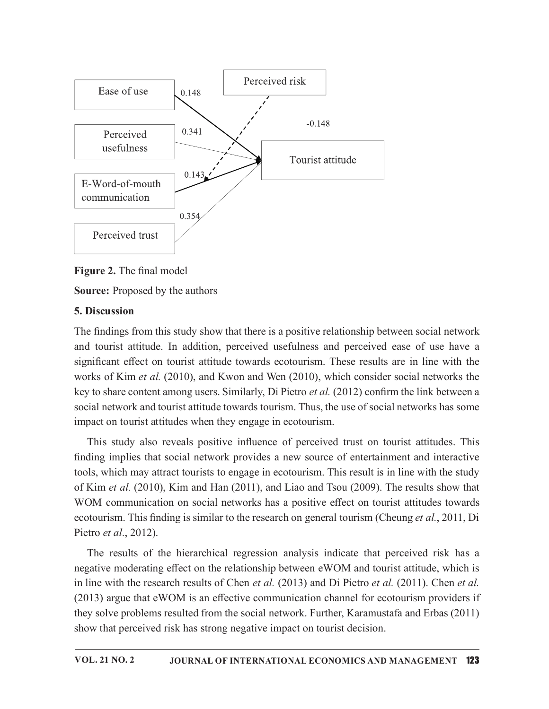

Figure 2. The final model

Source: Proposed by the authors

### 5. Discussion

The findings from this study show that there is a positive relationship between social network and tourist attitude. In addition, perceived usefulness and perceived ease of use have a significant effect on tourist attitude towards ecotourism. These results are in line with the works of Kim et al. (2010), and Kwon and Wen (2010), which consider social networks the key to share content among users. Similarly, Di Pietro *et al.* (2012) confirm the link between a social network and tourist attitude towards tourism. Thus, the use of social networks has some impact on tourist attitudes when they engage in ecotourism.

This study also reveals positive influence of perceived trust on tourist attitudes. This finding implies that social network provides a new source of entertainment and interactive tools, which may attract tourists to engage in ecotourism. This result is in line with the study of Kim et al. (2010), Kim and Han (2011), and Liao and Tsou (2009). The results show that WOM communication on social networks has a positive effect on tourist attitudes towards ecotourism. This finding is similar to the research on general tourism (Cheung *et al.*, 2011, Di Pietro et al., 2012).

The results of the hierarchical regression analysis indicate that perceived risk has a negative moderating effect on the relationship between eWOM and tourist attitude, which is in line with the research results of Chen *et al.* (2013) and Di Pietro *et al.* (2011). Chen *et al.*  $(2013)$  argue that eWOM is an effective communication channel for ecotourism providers if they solve problems resulted from the social network. Further, Karamustafa and Erbas (2011) show that perceived risk has strong negative impact on tourist decision.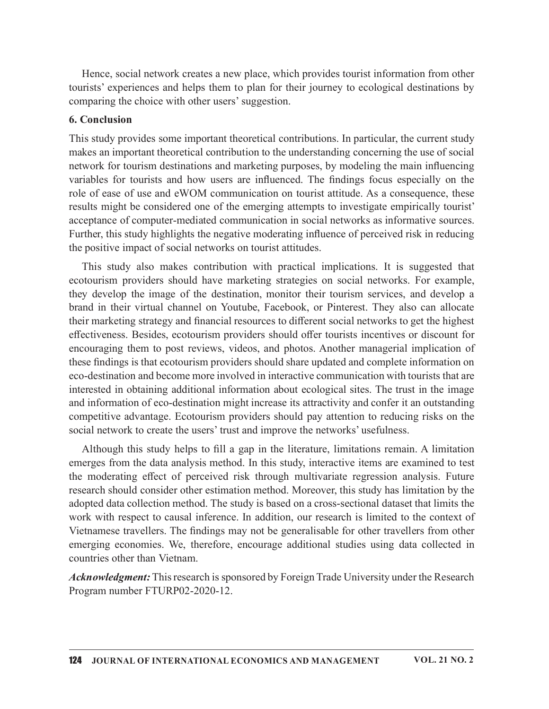Hence, social network creates a new place, which provides tourist information from other tourists' experiences and helps them to plan for their journey to ecological destinations by comparing the choice with other users' suggestion.

#### 6. Conclusion

This study provides some important theoretical contributions. In particular, the current study makes an important theoretical contribution to the understanding concerning the use of social network for tourism destinations and marketing purposes, by modeling the main influencing Hence, social network creates a new place, which provides tourist information from other tourists' experiences and helps them to plan for their journey to ecological destinations by comparing the choice with other users' s role of ease of use and eWOM communication on tourist attitude. As a consequence, these results might be considered one of the emerging attempts to investigate empirically tourist' acceptance of computer-mediated communication in social networks as informative sources. Further, this study highlights the negative moderating influence of perceived risk in reducing the positive impact of social networks on tourist attitudes.

This study also makes contribution with practical implications. It is suggested that ecotourism providers should have marketing strategies on social networks. For example, they develop the image of the destination, monitor their tourism services, and develop a brand in their virtual channel on Youtube, Facebook, or Pinterest. They also can allocate their marketing strategy and financial resources to different social networks to get the highest effectiveness. Besides, ecotourism providers should offer tourists incentives or discount for encouraging them to post reviews, videos, and photos. Another managerial implication of these findings is that ecotourism providers should share updated and complete information on eco-destination and become more involved in interactive communication with tourists that are interested in obtaining additional information about ecological sites. The trust in the image and information of eco-destination might increase its attractivity and confer it an outstanding competitive advantage. Ecotourism providers should pay attention to reducing risks on the social network to create the users' trust and improve the networks' usefulness.

Although this study helps to fill a gap in the literature, limitations remain. A limitation emerges from the data analysis method. In this study, interactive items are examined to test the moderating effect of perceived risk through multivariate regression analysis. Future research should consider other estimation method. Moreover, this study has limitation by the adopted data collection method. The study is based on a cross-sectional dataset that limits the work with respect to causal inference. In addition, our research is limited to the context of Vietnamese travellers. The findings may not be generalisable for other travellers from other emerging economies. We, therefore, encourage additional studies using data collected in countries other than Vietnam.

Acknowledgment: This research is sponsored by Foreign Trade University under the Research Program number FTURP02-2020-12.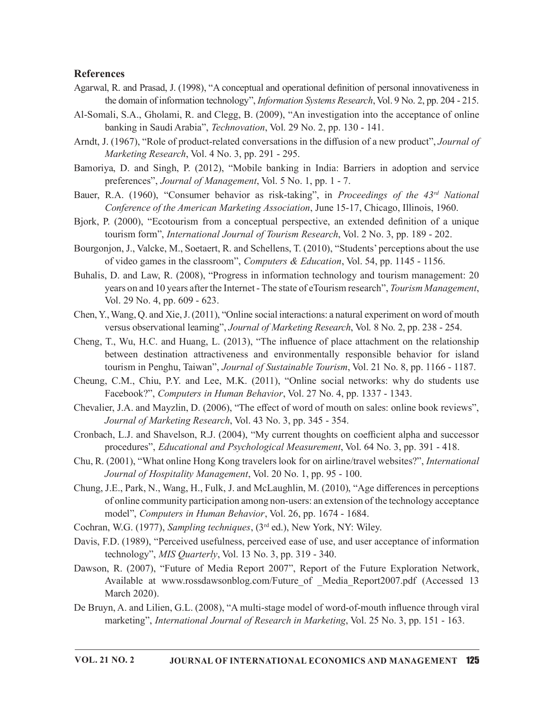#### References

- Agarwal, R. and Prasad, J. (1998), "A conceptual and operational definition of personal innovativeness in the domain of information technology", *Information Systems Research*, Vol. 9 No. 2, pp. 204 - 215.
- Al-Somali, S.A., Gholami, R. and Clegg, B. (2009), "An investigation into the acceptance of online banking in Saudi Arabia", Technovation, Vol. 29 No. 2, pp. 130 - 141.
- Arndt, J. (1967), "Role of product-related conversations in the diffusion of a new product", *Journal of* Marketing Research, Vol. 4 No. 3, pp. 291 - 295.
- Bamoriya, D. and Singh, P. (2012), "Mobile banking in India: Barriers in adoption and service preferences", Journal of Management, Vol. 5 No. 1, pp. 1 - 7.
- Bauer, R.A. (1960), "Consumer behavior as risk-taking", in *Proceedings of the*  $43<sup>rd</sup>$  *National* Conference of the American Marketing Association, June 15-17, Chicago, Illinois, 1960.
- Bjork, P. (2000), "Ecotourism from a conceptual perspective, an extended definition of a unique tourism form", International Journal of Tourism Research, Vol. 2 No. 3, pp. 189 - 202.
- Bourgonjon, J., Valcke, M., Soetaert, R. and Schellens, T. (2010), "Students' perceptions about the use of video games in the classroom", Computers & Education, Vol. 54, pp. 1145 - 1156.
- Buhalis, D. and Law, R. (2008), "Progress in information technology and tourism management: 20 years on and 10 years after the Internet - The state of eTourism research", *Tourism Management*, Vol. 29 No. 4, pp. 609 - 623.
- Chen, Y.,Wang, Q. and Xie,J.(2011), "Online social interactions: a natural experiment on word of mouth versus observational learning", Journal of Marketing Research, Vol. 8 No. 2, pp. 238 - 254.
- Cheng, T., Wu, H.C. and Huang, L.  $(2013)$ , "The influence of place attachment on the relationship between destination attractiveness and environmentally responsible behavior for island tourism in Penghu, Taiwan", Journal of Sustainable Tourism, Vol. 21 No. 8, pp. 1166 - 1187.
- Cheung, C.M., Chiu, P.Y. and Lee, M.K. (2011), "Online social networks: why do students use Facebook?", Computers in Human Behavior, Vol. 27 No. 4, pp. 1337 - 1343.
- Chevalier, J.A. and Mayzlin, D. (2006), "The effect of word of mouth on sales: online book reviews", Journal of Marketing Research, Vol. 43 No. 3, pp. 345 - 354.
- Cronbach, L.J. and Shavelson, R.J. (2004), "My current thoughts on coefficient alpha and successor procedures", Educational and Psychological Measurement, Vol. 64 No. 3, pp. 391 - 418.
- Chu, R. (2001), "What online Hong Kong travelers look for on airline/travel websites?", International Journal of Hospitality Management, Vol. 20 No. 1, pp. 95 - 100.
- Chung, J.E., Park, N., Wang, H., Fulk, J. and McLaughlin, M. (2010), "Age differences in perceptions of online community participation among non-users: an extension of the technology acceptance model", Computers in Human Behavior, Vol. 26, pp. 1674 - 1684.
- Cochran, W.G. (1977), Sampling techniques, (3<sup>rd</sup> ed.), New York, NY: Wiley.
- Davis, F.D. (1989), "Perceived usefulness, perceived ease of use, and user acceptance of information technology", MIS Quarterly, Vol. 13 No. 3, pp. 319 - 340.
- Dawson, R. (2007), "Future of Media Report 2007", Report of the Future Exploration Network, Available at www.rossdawsonblog.com/Future of Media Report2007.pdf (Accessed 13 March 2020).
- De Bruyn, A. and Lilien, G.L. (2008), "A multi-stage model of word-of-mouth influence through viral marketing", International Journal of Research in Marketing, Vol. 25 No. 3, pp. 151 - 163.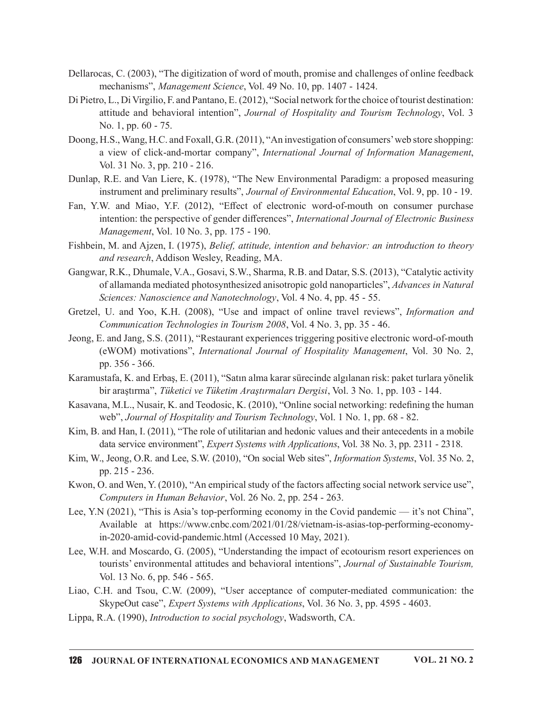- Dellarocas, C. (2003), "The digitization of word of mouth, promise and challenges of online feedback mechanisms", Management Science, Vol. 49 No. 10, pp. 1407 - 1424.
- Di Pietro, L., Di Virgilio, F. and Pantano, E. (2012), "Social network for the choice of tourist destination: attitude and behavioral intention", Journal of Hospitality and Tourism Technology, Vol. 3 No. 1, pp. 60 - 75.
- Doong, H.S., Wang, H.C. and Foxall, G.R. (2011), "An investigation of consumers' web store shopping: a view of click-and-mortar company", International Journal of Information Management, Vol. 31 No. 3, pp. 210 - 216.
- Dunlap, R.E. and Van Liere, K. (1978), "The New Environmental Paradigm: a proposed measuring instrument and preliminary results", Journal of Environmental Education, Vol. 9, pp. 10 - 19.
- Fan, Y.W. and Miao, Y.F. (2012), "Effect of electronic word-of-mouth on consumer purchase intention: the perspective of gender differences", International Journal of Electronic Business Management, Vol. 10 No. 3, pp. 175 - 190.
- Fishbein, M. and Ajzen, I. (1975), Belief, attitude, intention and behavior: an introduction to theory and research, Addison Wesley, Reading, MA.
- Gangwar, R.K., Dhumale, V.A., Gosavi, S.W., Sharma, R.B. and Datar, S.S. (2013), "Catalytic activity of allamanda mediated photosynthesized anisotropic gold nanoparticles", Advances in Natural Sciences: Nanoscience and Nanotechnology, Vol. 4 No. 4, pp. 45 - 55.
- Gretzel, U. and Yoo, K.H. (2008), "Use and impact of online travel reviews", Information and Communication Technologies in Tourism 2008, Vol. 4 No. 3, pp. 35 - 46.
- Jeong, E. and Jang, S.S. (2011), "Restaurant experiences triggering positive electronic word-of-mouth (eWOM) motivations", International Journal of Hospitality Management, Vol. 30 No. 2, pp. 356 - 366.
- Karamustafa, K. and Erbaş, E. (2011), "Satın alma kararsürecinde algılanan risk: paket turlara yönelik bir araştırma", Tüketici ve Tüketim Araştırmaları Dergisi, Vol. 3 No. 1, pp. 103 - 144.
- Kasavana, M.L., Nusair, K. and Teodosic, K. (2010), "Online social networking: redefining the human web", Journal of Hospitality and Tourism Technology, Vol. 1 No. 1, pp. 68 - 82.
- Kim, B. and Han, I. (2011), "The role of utilitarian and hedonic values and their antecedents in a mobile data service environment", *Expert Systems with Applications*, Vol. 38 No. 3, pp. 2311 - 2318.
- Kim, W., Jeong, O.R. and Lee, S.W. (2010), "On social Web sites", Information Systems, Vol. 35 No. 2, pp. 215 - 236.
- Kwon, O. and Wen, Y. (2010), "An empirical study of the factors affecting social network service use", Computers in Human Behavior, Vol. 26 No. 2, pp. 254 - 263.
- Lee, Y.N (2021), "This is Asia's top-performing economy in the Covid pandemic it's not China", Available at https://www.cnbc.com/2021/01/28/vietnam-is-asias-top-performing-economyin-2020-amid-covid-pandemic.html (Accessed 10 May, 2021).
- Lee, W.H. and Moscardo, G. (2005), "Understanding the impact of ecotourism resort experiences on tourists' environmental attitudes and behavioral intentions", Journal of Sustainable Tourism, Vol. 13 No. 6, pp. 546 - 565.
- Liao, C.H. and Tsou, C.W. (2009), "User acceptance of computer-mediated communication: the SkypeOut case", Expert Systems with Applications, Vol. 36 No. 3, pp. 4595 - 4603.
- Lippa, R.A. (1990), Introduction to social psychology, Wadsworth, CA.